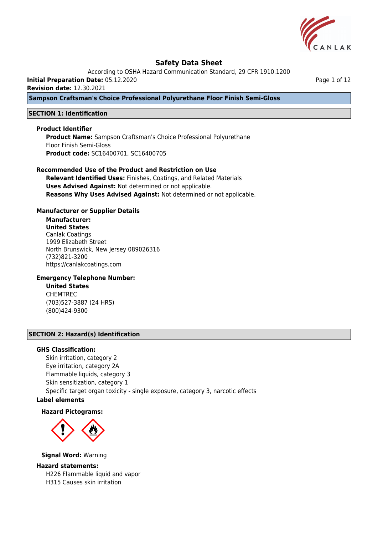

According to OSHA Hazard Communication Standard, 29 CFR 1910.1200

**Initial Preparation Date:** 05.12.2020

**Revision date:** 12.30.2021

**Sampson Craftsman's Choice Professional Polyurethane Floor Finish Semi-Gloss**

## **SECTION 1: Identification**

## **Product Identifier**

**Product Name:** Sampson Craftsman's Choice Professional Polyurethane Floor Finish Semi-Gloss **Product code:** SC16400701, SC16400705

## **Recommended Use of the Product and Restriction on Use**

**Relevant Identified Uses:** Finishes, Coatings, and Related Materials **Uses Advised Against:** Not determined or not applicable. **Reasons Why Uses Advised Against:** Not determined or not applicable.

## **Manufacturer or Supplier Details**

# **Manufacturer:**

**United States** Canlak Coatings 1999 Elizabeth Street North Brunswick, New Jersey 089026316 (732)821-3200 https://canlakcoatings.com

## **Emergency Telephone Number:**

**United States** CHEMTREC (703)527-3887 (24 HRS) (800)424-9300

## **SECTION 2: Hazard(s) Identification**

## **GHS Classification:**

Skin irritation, category 2 Eye irritation, category 2A Flammable liquids, category 3 Skin sensitization, category 1 Specific target organ toxicity - single exposure, category 3, narcotic effects

# **Label elements**

### **Hazard Pictograms:**



**Signal Word:** Warning

### **Hazard statements:**

H226 Flammable liquid and vapor H315 Causes skin irritation

Page 1 of 12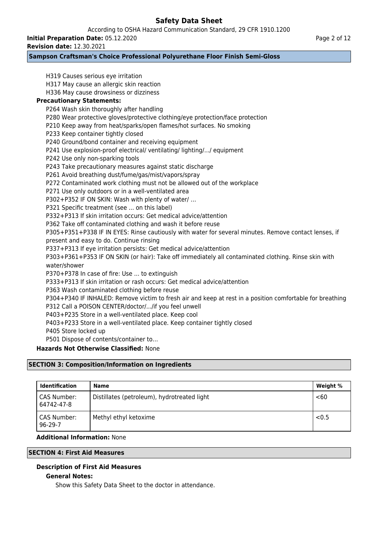According to OSHA Hazard Communication Standard, 29 CFR 1910.1200

**Initial Preparation Date:** 05.12.2020

**Revision date:** 12.30.2021

## **Sampson Craftsman's Choice Professional Polyurethane Floor Finish Semi-Gloss**

H319 Causes serious eye irritation H317 May cause an allergic skin reaction H336 May cause drowsiness or dizziness **Precautionary Statements:** P264 Wash skin thoroughly after handling P280 Wear protective gloves/protective clothing/eye protection/face protection P210 Keep away from heat/sparks/open flames/hot surfaces. No smoking P233 Keep container tightly closed P240 Ground/bond container and receiving equipment P241 Use explosion-proof electrical/ ventilating/ lighting/.../ equipment P242 Use only non-sparking tools P243 Take precautionary measures against static discharge P261 Avoid breathing dust/fume/gas/mist/vapors/spray P272 Contaminated work clothing must not be allowed out of the workplace P271 Use only outdoors or in a well-ventilated area P302+P352 IF ON SKIN: Wash with plenty of water/ … P321 Specific treatment (see ... on this label) P332+P313 If skin irritation occurs: Get medical advice/attention P362 Take off contaminated clothing and wash it before reuse P305+P351+P338 IF IN EYES: Rinse cautiously with water for several minutes. Remove contact lenses, if present and easy to do. Continue rinsing P337+P313 If eye irritation persists: Get medical advice/attention P303+P361+P353 IF ON SKIN (or hair): Take off immediately all contaminated clothing. Rinse skin with water/shower P370+P378 In case of fire: Use ... to extinguish P333+P313 If skin irritation or rash occurs: Get medical advice/attention P363 Wash contaminated clothing before reuse P304+P340 IF INHALED: Remove victim to fresh air and keep at rest in a position comfortable for breathing P312 Call a POISON CENTER/doctor/.../if you feel unwell P403+P235 Store in a well-ventilated place. Keep cool P403+P233 Store in a well-ventilated place. Keep container tightly closed P405 Store locked up P501 Dispose of contents/container to… **Hazards Not Otherwise Classified:** None **SECTION 3: Composition/Information on Ingredients Identification Name Name Research 2018** 

| identification               | name                                        | weight % |
|------------------------------|---------------------------------------------|----------|
| CAS Number:<br>64742-47-8    | Distillates (petroleum), hydrotreated light | < 60     |
| CAS Number:<br>$96 - 29 - 7$ | Methyl ethyl ketoxime                       | < 0.5    |

## **Additional Information:** None

## **SECTION 4: First Aid Measures**

## **Description of First Aid Measures**

## **General Notes:**

Show this Safety Data Sheet to the doctor in attendance.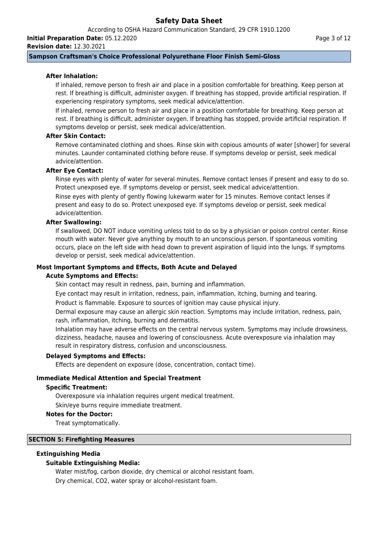According to OSHA Hazard Communication Standard, 29 CFR 1910.1200 **Initial Preparation Date:** 05.12.2020

**Revision date:** 12.30.2021

Page 3 of 12

## **Sampson Craftsman's Choice Professional Polyurethane Floor Finish Semi-Gloss**

### **After Inhalation:**

If inhaled, remove person to fresh air and place in a position comfortable for breathing. Keep person at rest. If breathing is difficult, administer oxygen. If breathing has stopped, provide artificial respiration. If experiencing respiratory symptoms, seek medical advice/attention.

If inhaled, remove person to fresh air and place in a position comfortable for breathing. Keep person at rest. If breathing is difficult, administer oxygen. If breathing has stopped, provide artificial respiration. If symptoms develop or persist, seek medical advice/attention.

## **After Skin Contact:**

Remove contaminated clothing and shoes. Rinse skin with copious amounts of water [shower] for several minutes. Launder contaminated clothing before reuse. If symptoms develop or persist, seek medical advice/attention.

## **After Eye Contact:**

Rinse eyes with plenty of water for several minutes. Remove contact lenses if present and easy to do so. Protect unexposed eye. If symptoms develop or persist, seek medical advice/attention. Rinse eyes with plenty of gently flowing lukewarm water for 15 minutes. Remove contact lenses if

present and easy to do so. Protect unexposed eye. If symptoms develop or persist, seek medical advice/attention.

### **After Swallowing:**

If swallowed, DO NOT induce vomiting unless told to do so by a physician or poison control center. Rinse mouth with water. Never give anything by mouth to an unconscious person. If spontaneous vomiting occurs, place on the left side with head down to prevent aspiration of liquid into the lungs. If symptoms develop or persist, seek medical advice/attention.

### **Most Important Symptoms and Effects, Both Acute and Delayed**

### **Acute Symptoms and Effects:**

Skin contact may result in redness, pain, burning and inflammation.

Eye contact may result in irritation, redness, pain, inflammation, itching, burning and tearing.

Product is flammable. Exposure to sources of ignition may cause physical injury.

Dermal exposure may cause an allergic skin reaction. Symptoms may include irritation, redness, pain, rash, inflammation, itching, burning and dermatitis.

Inhalation may have adverse effects on the central nervous system. Symptoms may include drowsiness, dizziness, headache, nausea and lowering of consciousness. Acute overexposure via inhalation may result in respiratory distress, confusion and unconsciousness.

### **Delayed Symptoms and Effects:**

Effects are dependent on exposure (dose, concentration, contact time).

## **Immediate Medical Attention and Special Treatment**

### **Specific Treatment:**

Overexposure via inhalation requires urgent medical treatment.

Skin/eye burns require immediate treatment.

### **Notes for the Doctor:**

Treat symptomatically.

### **SECTION 5: Firefighting Measures**

## **Extinguishing Media**

## **Suitable Extinguishing Media:**

Water mist/fog, carbon dioxide, dry chemical or alcohol resistant foam. Dry chemical, CO2, water spray or alcohol-resistant foam.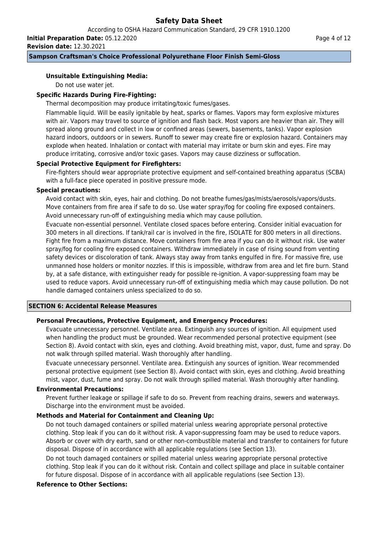According to OSHA Hazard Communication Standard, 29 CFR 1910.1200 **Initial Preparation Date:** 05.12.2020

**Revision date:** 12.30.2021

## **Sampson Craftsman's Choice Professional Polyurethane Floor Finish Semi-Gloss**

## **Unsuitable Extinguishing Media:**

Do not use water jet.

## **Specific Hazards During Fire-Fighting:**

Thermal decomposition may produce irritating/toxic fumes/gases.

Flammable liquid. Will be easily ignitable by heat, sparks or flames. Vapors may form explosive mixtures with air. Vapors may travel to source of ignition and flash back. Most vapors are heavier than air. They will spread along ground and collect in low or confined areas (sewers, basements, tanks). Vapor explosion hazard indoors, outdoors or in sewers. Runoff to sewer may create fire or explosion hazard. Containers may explode when heated. Inhalation or contact with material may irritate or burn skin and eyes. Fire may produce irritating, corrosive and/or toxic gases. Vapors may cause dizziness or suffocation.

## **Special Protective Equipment for Firefighters:**

Fire-fighters should wear appropriate protective equipment and self-contained breathing apparatus (SCBA) with a full-face piece operated in positive pressure mode.

## **Special precautions:**

Avoid contact with skin, eyes, hair and clothing. Do not breathe fumes/gas/mists/aerosols/vapors/dusts. Move containers from fire area if safe to do so. Use water spray/fog for cooling fire exposed containers. Avoid unnecessary run-off of extinguishing media which may cause pollution.

Evacuate non-essential personnel. Ventilate closed spaces before entering. Consider initial evacuation for 300 meters in all directions. If tank/rail car is involved in the fire, ISOLATE for 800 meters in all directions. Fight fire from a maximum distance. Move containers from fire area if you can do it without risk. Use water spray/fog for cooling fire exposed containers. Withdraw immediately in case of rising sound from venting safety devices or discoloration of tank. Always stay away from tanks engulfed in fire. For massive fire, use unmanned hose holders or monitor nozzles. If this is impossible, withdraw from area and let fire burn. Stand by, at a safe distance, with extinguisher ready for possible re-ignition. A vapor-suppressing foam may be used to reduce vapors. Avoid unnecessary run-off of extinguishing media which may cause pollution. Do not handle damaged containers unless specialized to do so.

## **SECTION 6: Accidental Release Measures**

## **Personal Precautions, Protective Equipment, and Emergency Procedures:**

Evacuate unnecessary personnel. Ventilate area. Extinguish any sources of ignition. All equipment used when handling the product must be grounded. Wear recommended personal protective equipment (see Section 8). Avoid contact with skin, eyes and clothing. Avoid breathing mist, vapor, dust, fume and spray. Do not walk through spilled material. Wash thoroughly after handling.

Evacuate unnecessary personnel. Ventilate area. Extinguish any sources of ignition. Wear recommended personal protective equipment (see Section 8). Avoid contact with skin, eyes and clothing. Avoid breathing mist, vapor, dust, fume and spray. Do not walk through spilled material. Wash thoroughly after handling.

### **Environmental Precautions:**

Prevent further leakage or spillage if safe to do so. Prevent from reaching drains, sewers and waterways. Discharge into the environment must be avoided.

## **Methods and Material for Containment and Cleaning Up:**

Do not touch damaged containers or spilled material unless wearing appropriate personal protective clothing. Stop leak if you can do it without risk. A vapor-suppressing foam may be used to reduce vapors. Absorb or cover with dry earth, sand or other non-combustible material and transfer to containers for future disposal. Dispose of in accordance with all applicable regulations (see Section 13).

Do not touch damaged containers or spilled material unless wearing appropriate personal protective clothing. Stop leak if you can do it without risk. Contain and collect spillage and place in suitable container for future disposal. Dispose of in accordance with all applicable regulations (see Section 13).

## **Reference to Other Sections:**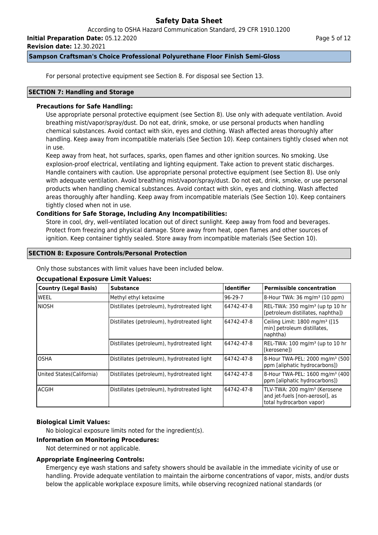According to OSHA Hazard Communication Standard, 29 CFR 1910.1200

**Initial Preparation Date:** 05.12.2020

**Revision date:** 12.30.2021

### **Sampson Craftsman's Choice Professional Polyurethane Floor Finish Semi-Gloss**

For personal protective equipment see Section 8. For disposal see Section 13.

### **SECTION 7: Handling and Storage**

## **Precautions for Safe Handling:**

Use appropriate personal protective equipment (see Section 8). Use only with adequate ventilation. Avoid breathing mist/vapor/spray/dust. Do not eat, drink, smoke, or use personal products when handling chemical substances. Avoid contact with skin, eyes and clothing. Wash affected areas thoroughly after handling. Keep away from incompatible materials (See Section 10). Keep containers tightly closed when not in use.

Keep away from heat, hot surfaces, sparks, open flames and other ignition sources. No smoking. Use explosion-proof electrical, ventilating and lighting equipment. Take action to prevent static discharges. Handle containers with caution. Use appropriate personal protective equipment (see Section 8). Use only with adequate ventilation. Avoid breathing mist/vapor/spray/dust. Do not eat, drink, smoke, or use personal products when handling chemical substances. Avoid contact with skin, eyes and clothing. Wash affected areas thoroughly after handling. Keep away from incompatible materials (See Section 10). Keep containers tightly closed when not in use.

## **Conditions for Safe Storage, Including Any Incompatibilities:**

Store in cool, dry, well-ventilated location out of direct sunlight. Keep away from food and beverages. Protect from freezing and physical damage. Store away from heat, open flames and other sources of ignition. Keep container tightly sealed. Store away from incompatible materials (See Section 10).

## **SECTION 8: Exposure Controls/Personal Protection**

Only those substances with limit values have been included below.

## **Occupational Exposure Limit Values:**

| Country (Legal Basis)      | <b>Substance</b>                            | <b>Identifier</b> | <b>Permissible concentration</b>                                                                        |
|----------------------------|---------------------------------------------|-------------------|---------------------------------------------------------------------------------------------------------|
| lweel                      | Methyl ethyl ketoxime                       | $96-29-7$         | 8-Hour TWA: 36 mg/m <sup>3</sup> (10 ppm)                                                               |
| Iniosh                     | Distillates (petroleum), hydrotreated light | 64742-47-8        | REL-TWA: 350 mg/m <sup>3</sup> (up tp 10 hr<br>[petroleum distillates, naphtha])                        |
|                            | Distillates (petroleum), hydrotreated light | 64742-47-8        | Ceiling Limit: 1800 mg/m <sup>3</sup> ([15<br>min] petroleum distillates,<br>naphtha)                   |
|                            | Distillates (petroleum), hydrotreated light | 64742-47-8        | REL-TWA: 100 mg/m <sup>3</sup> (up to 10 hr<br>l[kerosene])                                             |
| IOSHA                      | Distillates (petroleum), hydrotreated light | 64742-47-8        | 8-Hour TWA-PEL: 2000 mg/m <sup>3</sup> (500)<br>ppm [aliphatic hydrocarbons])                           |
| United States (California) | Distillates (petroleum), hydrotreated light | 64742-47-8        | 8-Hour TWA-PEL: 1600 mg/m <sup>3</sup> (400<br>ppm [aliphatic hydrocarbons])                            |
| lacgih                     | Distillates (petroleum), hydrotreated light | 64742-47-8        | TLV-TWA: 200 mg/m <sup>3</sup> (Kerosene<br>and jet-fuels [non-aerosol], as<br>total hydrocarbon vapor) |

## **Biological Limit Values:**

No biological exposure limits noted for the ingredient(s).

## **Information on Monitoring Procedures:**

Not determined or not applicable.

## **Appropriate Engineering Controls:**

Emergency eye wash stations and safety showers should be available in the immediate vicinity of use or handling. Provide adequate ventilation to maintain the airborne concentrations of vapor, mists, and/or dusts below the applicable workplace exposure limits, while observing recognized national standards (or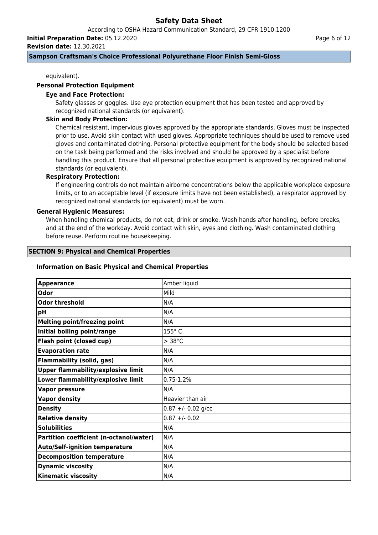According to OSHA Hazard Communication Standard, 29 CFR 1910.1200

**Initial Preparation Date:** 05.12.2020

**Revision date:** 12.30.2021

### **Sampson Craftsman's Choice Professional Polyurethane Floor Finish Semi-Gloss**

equivalent).

### **Personal Protection Equipment**

### **Eye and Face Protection:**

Safety glasses or goggles. Use eye protection equipment that has been tested and approved by recognized national standards (or equivalent).

### **Skin and Body Protection:**

Chemical resistant, impervious gloves approved by the appropriate standards. Gloves must be inspected prior to use. Avoid skin contact with used gloves. Appropriate techniques should be used to remove used gloves and contaminated clothing. Personal protective equipment for the body should be selected based on the task being performed and the risks involved and should be approved by a specialist before handling this product. Ensure that all personal protective equipment is approved by recognized national standards (or equivalent).

## **Respiratory Protection:**

If engineering controls do not maintain airborne concentrations below the applicable workplace exposure limits, or to an acceptable level (if exposure limits have not been established), a respirator approved by recognized national standards (or equivalent) must be worn.

### **General Hygienic Measures:**

When handling chemical products, do not eat, drink or smoke. Wash hands after handling, before breaks, and at the end of the workday. Avoid contact with skin, eyes and clothing. Wash contaminated clothing before reuse. Perform routine housekeeping.

### **SECTION 9: Physical and Chemical Properties**

### **Information on Basic Physical and Chemical Properties**

| <b>Appearance</b>                         | Amber liquid        |
|-------------------------------------------|---------------------|
| Odor                                      | Mild                |
| <b>Odor threshold</b>                     | N/A                 |
| pH                                        | N/A                 |
| <b>Melting point/freezing point</b>       | N/A                 |
| Initial boiling point/range               | 155°C               |
| Flash point (closed cup)                  | $> 38^{\circ}$ C    |
| <b>Evaporation rate</b>                   | N/A                 |
| <b>Flammability (solid, gas)</b>          | N/A                 |
| <b>Upper flammability/explosive limit</b> | N/A                 |
| Lower flammability/explosive limit        | $0.75 - 1.2%$       |
| <b>Vapor pressure</b>                     | N/A                 |
| <b>Vapor density</b>                      | Heavier than air    |
| <b>Density</b>                            | $0.87 + -0.02$ g/cc |
| <b>Relative density</b>                   | $0.87 + - 0.02$     |
| <b>Solubilities</b>                       | N/A                 |
| Partition coefficient (n-octanol/water)   | N/A                 |
| <b>Auto/Self-ignition temperature</b>     | N/A                 |
| <b>Decomposition temperature</b>          | N/A                 |
| <b>Dynamic viscosity</b>                  | N/A                 |
| <b>Kinematic viscosity</b>                | N/A                 |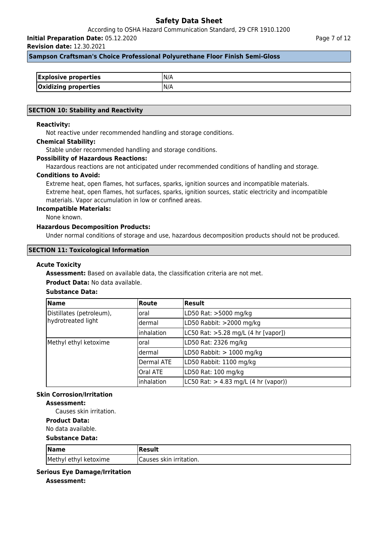According to OSHA Hazard Communication Standard, 29 CFR 1910.1200

**Initial Preparation Date:** 05.12.2020

**Revision date:** 12.30.2021

### **Sampson Craftsman's Choice Professional Polyurethane Floor Finish Semi-Gloss**

| <b>Explosive properties</b> |  |
|-----------------------------|--|
| Oxidizing properties        |  |

### **SECTION 10: Stability and Reactivity**

### **Reactivity:**

Not reactive under recommended handling and storage conditions.

#### **Chemical Stability:**

Stable under recommended handling and storage conditions.

### **Possibility of Hazardous Reactions:**

Hazardous reactions are not anticipated under recommended conditions of handling and storage.

#### **Conditions to Avoid:**

Extreme heat, open flames, hot surfaces, sparks, ignition sources and incompatible materials. Extreme heat, open flames, hot surfaces, sparks, ignition sources, static electricity and incompatible materials. Vapor accumulation in low or confined areas.

#### **Incompatible Materials:**

None known.

## **Hazardous Decomposition Products:**

Under normal conditions of storage and use, hazardous decomposition products should not be produced.

#### **SECTION 11: Toxicological Information**

#### **Acute Toxicity**

**Assessment:** Based on available data, the classification criteria are not met.

### **Product Data:** No data available.

## **Substance Data:**

| <b>Name</b>                                    | <b>Route</b>    | Result                                                   |
|------------------------------------------------|-----------------|----------------------------------------------------------|
| Distillates (petroleum),<br>hydrotreated light | loral           | LD50 Rat: >5000 mg/kg                                    |
|                                                | ldermal         | LD50 Rabbit: >2000 mg/kg                                 |
|                                                | inhalation      | LC50 Rat: >5.28 mg/L (4 hr [vapor])                      |
| Methyl ethyl ketoxime                          | loral           | LD50 Rat: 2326 mg/kg                                     |
|                                                | ldermal         | LD50 Rabbit: $> 1000$ mg/kg                              |
|                                                | Dermal ATE      | LD50 Rabbit: 1100 mg/kg                                  |
|                                                | <b>Oral ATE</b> | LD50 Rat: 100 mg/kg                                      |
|                                                | inhalation      | $ L C50 \text{ Rat:} > 4.83 \text{ mg/L}$ (4 hr (vapor)) |

# **Skin Corrosion/Irritation**

## **Assessment:**

Causes skin irritation.

## **Product Data:**

No data available.

### **Substance Data:**

| $\sqrt{\mathsf{Name}}$ | Result                   |
|------------------------|--------------------------|
| Methyl ethyl ketoxime  | ICauses skin irritation. |

### **Serious Eye Damage/Irritation**

**Assessment:**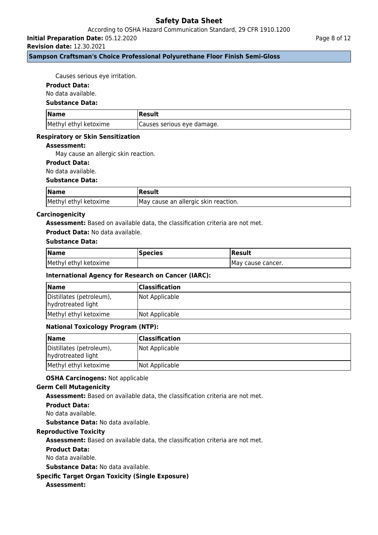According to OSHA Hazard Communication Standard, 29 CFR 1910.1200

**Initial Preparation Date:** 05.12.2020

**Revision date:** 12.30.2021

## **Sampson Craftsman's Choice Professional Polyurethane Floor Finish Semi-Gloss**

Causes serious eye irritation.

### **Product Data:**

No data available.

### **Substance Data:**

| <b>Name</b>           | Result                      |
|-----------------------|-----------------------------|
| Methyl ethyl ketoxime | (Causes serious eye damage. |

### **Respiratory or Skin Sensitization**

### **Assessment:**

May cause an allergic skin reaction.

## **Product Data:**

No data available.

### **Substance Data:**

| <b>Name</b>           | Result                                |
|-----------------------|---------------------------------------|
| Methyl ethyl ketoxime | IMay cause an allergic skin reaction. |

### **Carcinogenicity**

**Assessment:** Based on available data, the classification criteria are not met.

#### **Product Data:** No data available.

### **Substance Data:**

| <b>Name</b>           | <b>Species</b> | <b>Result</b>      |
|-----------------------|----------------|--------------------|
| Methyl ethyl ketoxime |                | IMay cause cancer. |

## **International Agency for Research on Cancer (IARC):**

| <b>Name</b>                                    | <b>Classification</b> |
|------------------------------------------------|-----------------------|
| Distillates (petroleum),<br>hydrotreated light | Not Applicable        |
| Methyl ethyl ketoxime                          | Not Applicable        |

## **National Toxicology Program (NTP):**

| <b>Name</b>                                    | <b>Classification</b> |
|------------------------------------------------|-----------------------|
| Distillates (petroleum),<br>hydrotreated light | Not Applicable        |
| Methyl ethyl ketoxime                          | Not Applicable        |

### **OSHA Carcinogens:** Not applicable

### **Germ Cell Mutagenicity**

**Assessment:** Based on available data, the classification criteria are not met.

### **Product Data:**

No data available.

**Substance Data:** No data available.

## **Reproductive Toxicity**

**Assessment:** Based on available data, the classification criteria are not met.

### **Product Data:**

No data available.

**Substance Data:** No data available.

## **Specific Target Organ Toxicity (Single Exposure)**

## **Assessment:**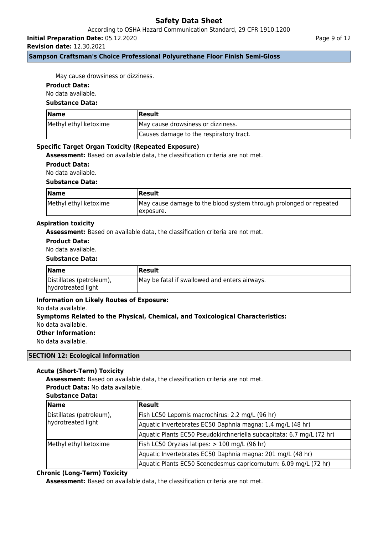According to OSHA Hazard Communication Standard, 29 CFR 1910.1200

**Initial Preparation Date:** 05.12.2020

**Revision date:** 12.30.2021

**Sampson Craftsman's Choice Professional Polyurethane Floor Finish Semi-Gloss**

Page 9 of 12

May cause drowsiness or dizziness.

### **Product Data:**

No data available.

### **Substance Data:**

| <b>Name</b>           | <b> Result</b>                          |
|-----------------------|-----------------------------------------|
| Methyl ethyl ketoxime | May cause drowsiness or dizziness.      |
|                       | Causes damage to the respiratory tract. |

### **Specific Target Organ Toxicity (Repeated Exposure)**

**Assessment:** Based on available data, the classification criteria are not met.

**Product Data:**

No data available.

### **Substance Data:**

| <b>Name</b>           | Result                                                                           |
|-----------------------|----------------------------------------------------------------------------------|
| Methyl ethyl ketoxime | May cause damage to the blood system through prolonged or repeated<br>Texposure. |

### **Aspiration toxicity**

**Assessment:** Based on available data, the classification criteria are not met.

## **Product Data:**

No data available.

### **Substance Data:**

| <b>Name</b>                                    | <b> Result</b>                                |
|------------------------------------------------|-----------------------------------------------|
| Distillates (petroleum),<br>hydrotreated light | May be fatal if swallowed and enters airways. |

## **Information on Likely Routes of Exposure:**

### No data available.

# **Symptoms Related to the Physical, Chemical, and Toxicological Characteristics:** No data available.

**Other Information:**

No data available.

### **SECTION 12: Ecological Information**

## **Acute (Short-Term) Toxicity**

**Assessment:** Based on available data, the classification criteria are not met. **Product Data:** No data available.

### **Substance Data:**

| <b>Name</b>                                    | <b>Result</b>                                                         |  |  |
|------------------------------------------------|-----------------------------------------------------------------------|--|--|
| Distillates (petroleum),<br>hydrotreated light | Fish LC50 Lepomis macrochirus: 2.2 mg/L (96 hr)                       |  |  |
|                                                | Aquatic Invertebrates EC50 Daphnia magna: 1.4 mg/L (48 hr)            |  |  |
|                                                | Aquatic Plants EC50 Pseudokirchneriella subcapitata: 6.7 mg/L (72 hr) |  |  |
| Methyl ethyl ketoxime                          | Fish LC50 Oryzias latipes: > 100 mg/L (96 hr)                         |  |  |
|                                                | Aquatic Invertebrates EC50 Daphnia magna: 201 mg/L (48 hr)            |  |  |
|                                                | Aquatic Plants EC50 Scenedesmus capricornutum: 6.09 mg/L (72 hr)      |  |  |

## **Chronic (Long-Term) Toxicity**

**Assessment:** Based on available data, the classification criteria are not met.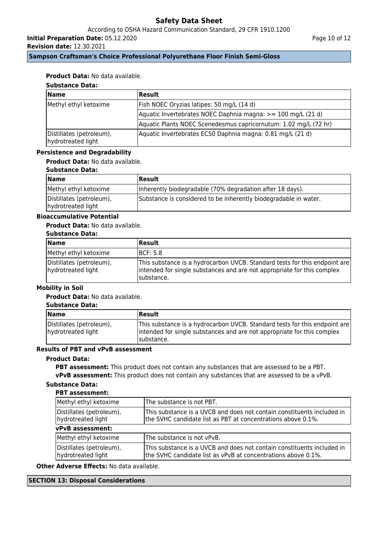According to OSHA Hazard Communication Standard, 29 CFR 1910.1200

**Initial Preparation Date:** 05.12.2020

**Revision date:** 12.30.2021

Page 10 of 12

## **Sampson Craftsman's Choice Professional Polyurethane Floor Finish Semi-Gloss**

## **Product Data:** No data available.

# **Substance Data:**

| <b>Name</b>                                    | Result                                                           |  |
|------------------------------------------------|------------------------------------------------------------------|--|
| Methyl ethyl ketoxime                          | Fish NOEC Oryzias latipes: 50 mg/L (14 d)                        |  |
|                                                | Aquatic Invertebrates NOEC Daphnia magna: >= 100 mg/L (21 d)     |  |
|                                                | Aquatic Plants NOEC Scenedesmus capricornutum: 1.02 mg/L (72 hr) |  |
| Distillates (petroleum),<br>hydrotreated light | Aquatic Invertebrates EC50 Daphnia magna: 0.81 mg/L (21 d)       |  |

### **Persistence and Degradability**

## **Product Data:** No data available.

### **Substance Data:**

| <b>Name</b>                                    | Result                                                           |
|------------------------------------------------|------------------------------------------------------------------|
| Methyl ethyl ketoxime                          | Inherently biodegradable (70% degradation after 18 days).        |
| Distillates (petroleum),<br>hydrotreated light | Substance is considered to be inherently biodegradable in water. |

# **Bioaccumulative Potential**

## **Product Data:** No data available.

### **Substance Data:**

| Name                                           | <b>Result</b>                                                                                                                                                        |
|------------------------------------------------|----------------------------------------------------------------------------------------------------------------------------------------------------------------------|
| Methyl ethyl ketoxime                          | <b>IBCF: 5.8</b>                                                                                                                                                     |
| Distillates (petroleum),<br>hydrotreated light | This substance is a hydrocarbon UVCB. Standard tests for this endpoint are<br>intended for single substances and are not appropriate for this complex<br>Isubstance. |

## **Mobility in Soil**

## **Product Data:** No data available.

### **Substance Data:**

| <b>Name</b>                                    | <b>Result</b>                                                                                                                                                        |
|------------------------------------------------|----------------------------------------------------------------------------------------------------------------------------------------------------------------------|
| Distillates (petroleum),<br>hydrotreated light | This substance is a hydrocarbon UVCB. Standard tests for this endpoint are<br>intended for single substances and are not appropriate for this complex<br>Isubstance. |

## **Results of PBT and vPvB assessment**

## **Product Data:**

**PBT assessment:** This product does not contain any substances that are assessed to be a PBT. **vPvB assessment:** This product does not contain any substances that are assessed to be a vPvB.

# **Substance Data:**

### **PBT assessment:**

| Methyl ethyl ketoxime                          | The substance is not PBT.                                                                                                               |  |  |
|------------------------------------------------|-----------------------------------------------------------------------------------------------------------------------------------------|--|--|
| Distillates (petroleum),<br>hydrotreated light | This substance is a UVCB and does not contain constituents included in<br>the SVHC candidate list as PBT at concentrations above 0.1%.  |  |  |
| vPvB assessment:                               |                                                                                                                                         |  |  |
| Methyl ethyl ketoxime                          | The substance is not vPvB.                                                                                                              |  |  |
| Distillates (petroleum),<br>hydrotreated light | This substance is a UVCB and does not contain constituents included in<br>the SVHC candidate list as vPvB at concentrations above 0.1%. |  |  |

**Other Adverse Effects:** No data available.

### **SECTION 13: Disposal Considerations**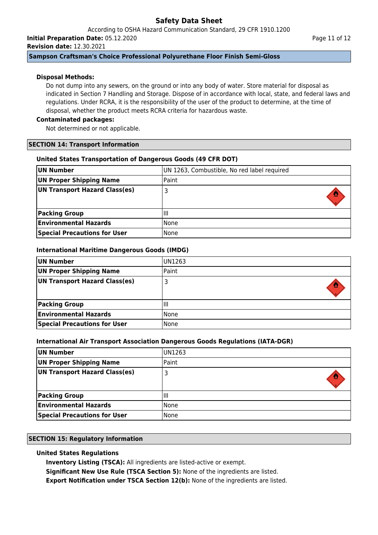According to OSHA Hazard Communication Standard, 29 CFR 1910.1200 **Initial Preparation Date:** 05.12.2020

**Revision date:** 12.30.2021

## **Sampson Craftsman's Choice Professional Polyurethane Floor Finish Semi-Gloss**

## **Disposal Methods:**

Do not dump into any sewers, on the ground or into any body of water. Store material for disposal as indicated in Section 7 Handling and Storage. Dispose of in accordance with local, state, and federal laws and regulations. Under RCRA, it is the responsibility of the user of the product to determine, at the time of disposal, whether the product meets RCRA criteria for hazardous waste.

## **Contaminated packages:**

Not determined or not applicable.

## **SECTION 14: Transport Information**

## **United States Transportation of Dangerous Goods (49 CFR DOT)**

| UN Number                           | UN 1263, Combustible, No red label required |  |
|-------------------------------------|---------------------------------------------|--|
| UN Proper Shipping Name             | Paint                                       |  |
| UN Transport Hazard Class(es)       | 3                                           |  |
| <b>Packing Group</b>                | ШI                                          |  |
| <b>Environmental Hazards</b>        | l None                                      |  |
| <b>Special Precautions for User</b> | None                                        |  |

## **International Maritime Dangerous Goods (IMDG)**

| UN Number                           | IUN1263 |
|-------------------------------------|---------|
| UN Proper Shipping Name             | Paint   |
| UN Transport Hazard Class(es)       |         |
|                                     |         |
| <b>Packing Group</b>                | Шı      |
| <b>Environmental Hazards</b>        | l None  |
| <b>Special Precautions for User</b> | l None  |

## **International Air Transport Association Dangerous Goods Regulations (IATA-DGR)**

| UN Number                           | UN1263 |
|-------------------------------------|--------|
| UN Proper Shipping Name             | Paint  |
| UN Transport Hazard Class(es)       |        |
| <b>Packing Group</b>                | Ш      |
| <b>Environmental Hazards</b>        | None   |
| <b>Special Precautions for User</b> | None   |

## **SECTION 15: Regulatory Information**

# **United States Regulations**

**Inventory Listing (TSCA):** All ingredients are listed-active or exempt.

**Significant New Use Rule (TSCA Section 5):** None of the ingredients are listed.

**Export Notification under TSCA Section 12(b):** None of the ingredients are listed.